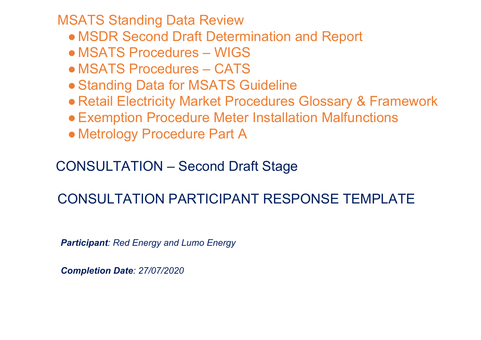MSATS Standing Data Review

- MSDR Second Draft Determination and Report
- MSATS Procedures WIGS
- MSATS Procedures CATS
- Standing Data for MSATS Guideline
- Retail Electricity Market Procedures Glossary & Framework
- ●Exemption Procedure Meter Installation Malfunctions
- Metrology Procedure Part A

# CONSULTATION – Second Draft Stage

# CONSULTATION PARTICIPANT RESPONSE TEMPLATE

*Participant: Red Energy and Lumo Energy*

*Completion Date: 27/07/2020*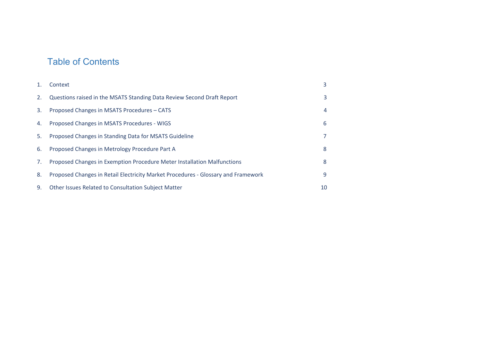# Table of Contents

| 1. | Context                                                                           | 3  |
|----|-----------------------------------------------------------------------------------|----|
| 2. | Questions raised in the MSATS Standing Data Review Second Draft Report            | 3  |
| 3. | Proposed Changes in MSATS Procedures - CATS                                       | 4  |
| 4. | Proposed Changes in MSATS Procedures - WIGS                                       | 6  |
| 5. | Proposed Changes in Standing Data for MSATS Guideline                             | 7  |
| 6. | Proposed Changes in Metrology Procedure Part A                                    | 8  |
| 7. | Proposed Changes in Exemption Procedure Meter Installation Malfunctions           | 8  |
| 8. | Proposed Changes in Retail Electricity Market Procedures - Glossary and Framework | 9  |
| 9. | Other Issues Related to Consultation Subject Matter                               | 10 |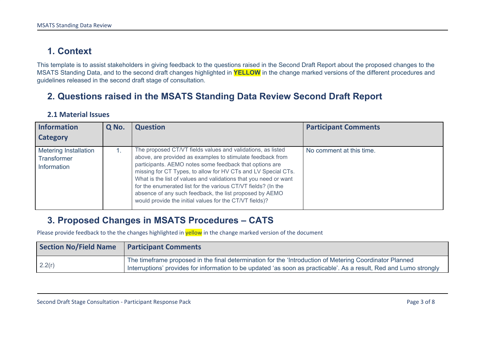# <span id="page-2-0"></span>**1. Context**

This template is to assist stakeholders in giving feedback to the questions raised in the Second Draft Report about the proposed changes to the MSATS Standing Data, and to the second draft changes highlighted in **YELLOW** in the change marked versions of the different procedures and guidelines released in the second draft stage of consultation.

### <span id="page-2-1"></span>**2. Questions raised in the MSATS Standing Data Review Second Draft Report**

| <b>Information</b>                                                | Q No. | <b>Question</b>                                                                                                                                                                                                                                                                                                                                                                                                                                                                                                  | <b>Participant Comments</b> |
|-------------------------------------------------------------------|-------|------------------------------------------------------------------------------------------------------------------------------------------------------------------------------------------------------------------------------------------------------------------------------------------------------------------------------------------------------------------------------------------------------------------------------------------------------------------------------------------------------------------|-----------------------------|
| <b>Category</b>                                                   |       |                                                                                                                                                                                                                                                                                                                                                                                                                                                                                                                  |                             |
| <b>Metering Installation</b><br><b>Transformer</b><br>Information |       | The proposed CT/VT fields values and validations, as listed<br>above, are provided as examples to stimulate feedback from<br>participants. AEMO notes some feedback that options are<br>missing for CT Types, to allow for HV CTs and LV Special CTs.<br>What is the list of values and validations that you need or want<br>for the enumerated list for the various CT/VT fields? (In the<br>absence of any such feedback, the list proposed by AEMO<br>would provide the initial values for the CT/VT fields)? | No comment at this time.    |

#### **2.1 Material Issues**

#### <span id="page-2-2"></span>**3. Proposed Changes in MSATS Procedures – CATS**

| <b>Section No/Field Name</b> | <b>Participant Comments</b>                                                                                                                                                                                                   |
|------------------------------|-------------------------------------------------------------------------------------------------------------------------------------------------------------------------------------------------------------------------------|
| 2.2(r)                       | The timeframe proposed in the final determination for the 'Introduction of Metering Coordinator Planned<br>Interruptions' provides for information to be updated 'as soon as practicable'. As a result, Red and Lumo strongly |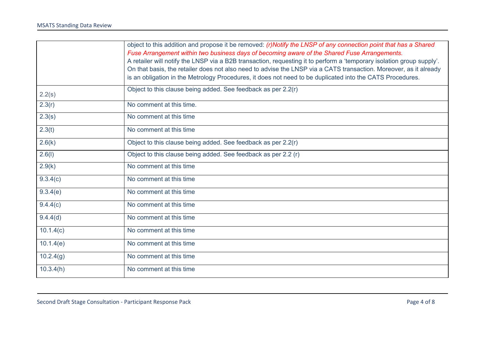|           | object to this addition and propose it be removed: (r)Notify the LNSP of any connection point that has a Shared       |
|-----------|-----------------------------------------------------------------------------------------------------------------------|
|           | Fuse Arrangement within two business days of becoming aware of the Shared Fuse Arrangements.                          |
|           | A retailer will notify the LNSP via a B2B transaction, requesting it to perform a 'temporary isolation group supply'. |
|           | On that basis, the retailer does not also need to advise the LNSP via a CATS transaction. Moreover, as it already     |
|           | is an obligation in the Metrology Procedures, it does not need to be duplicated into the CATS Procedures.             |
| 2.2(s)    | Object to this clause being added. See feedback as per 2.2(r)                                                         |
| 2.3(r)    | No comment at this time.                                                                                              |
| 2.3(s)    | No comment at this time                                                                                               |
| 2.3(t)    | No comment at this time                                                                                               |
| 2.6(k)    | Object to this clause being added. See feedback as per 2.2(r)                                                         |
| 2.6(l)    | Object to this clause being added. See feedback as per 2.2 (r)                                                        |
| 2.9(k)    | No comment at this time                                                                                               |
| 9.3.4(c)  | No comment at this time                                                                                               |
| 9.3.4(e)  | No comment at this time                                                                                               |
| 9.4.4(c)  | No comment at this time                                                                                               |
| 9.4.4(d)  | No comment at this time                                                                                               |
| 10.1.4(c) | No comment at this time                                                                                               |
| 10.1.4(e) | No comment at this time                                                                                               |
| 10.2.4(g) | No comment at this time                                                                                               |
| 10.3.4(h) | No comment at this time                                                                                               |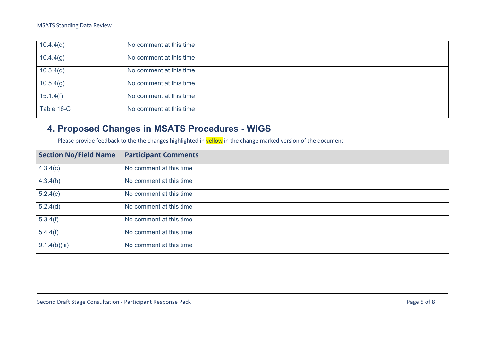| 10.4.4(d)  | No comment at this time |
|------------|-------------------------|
| 10.4.4(g)  | No comment at this time |
| 10.5.4(d)  | No comment at this time |
| 10.5.4(g)  | No comment at this time |
| 15.1.4(f)  | No comment at this time |
| Table 16-C | No comment at this time |

## <span id="page-4-0"></span>**4. Proposed Changes in MSATS Procedures - WIGS**

| <b>Section No/Field Name</b> | <b>Participant Comments</b> |
|------------------------------|-----------------------------|
| 4.3.4(c)                     | No comment at this time     |
| 4.3.4(h)                     | No comment at this time     |
| 5.2.4(c)                     | No comment at this time     |
| 5.2.4(d)                     | No comment at this time     |
| 5.3.4(f)                     | No comment at this time     |
| 5.4.4(f)                     | No comment at this time     |
| 9.1.4(b)(iii)                | No comment at this time     |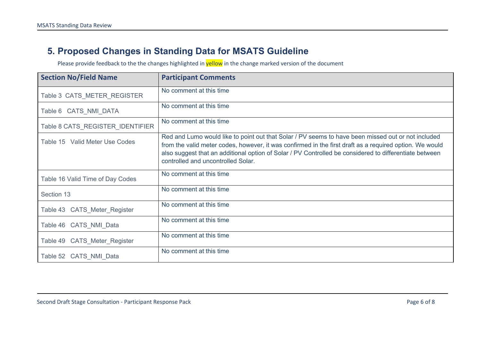## <span id="page-5-0"></span>**5. Proposed Changes in Standing Data for MSATS Guideline**

| <b>Section No/Field Name</b>     | <b>Participant Comments</b>                                                                                                                                                                                                                                                                                                                                   |
|----------------------------------|---------------------------------------------------------------------------------------------------------------------------------------------------------------------------------------------------------------------------------------------------------------------------------------------------------------------------------------------------------------|
| Table 3 CATS_METER_REGISTER      | No comment at this time                                                                                                                                                                                                                                                                                                                                       |
| Table 6 CATS NMI DATA            | No comment at this time                                                                                                                                                                                                                                                                                                                                       |
| Table 8 CATS_REGISTER_IDENTIFIER | No comment at this time                                                                                                                                                                                                                                                                                                                                       |
| Table 15 Valid Meter Use Codes   | Red and Lumo would like to point out that Solar / PV seems to have been missed out or not included<br>from the valid meter codes, however, it was confirmed in the first draft as a required option. We would<br>also suggest that an additional option of Solar / PV Controlled be considered to differentiate between<br>controlled and uncontrolled Solar. |
| Table 16 Valid Time of Day Codes | No comment at this time                                                                                                                                                                                                                                                                                                                                       |
| Section 13                       | No comment at this time                                                                                                                                                                                                                                                                                                                                       |
| Table 43 CATS Meter Register     | No comment at this time                                                                                                                                                                                                                                                                                                                                       |
| Table 46 CATS NMI Data           | No comment at this time                                                                                                                                                                                                                                                                                                                                       |
| Table 49 CATS Meter Register     | No comment at this time                                                                                                                                                                                                                                                                                                                                       |
| Table 52 CATS NMI Data           | No comment at this time                                                                                                                                                                                                                                                                                                                                       |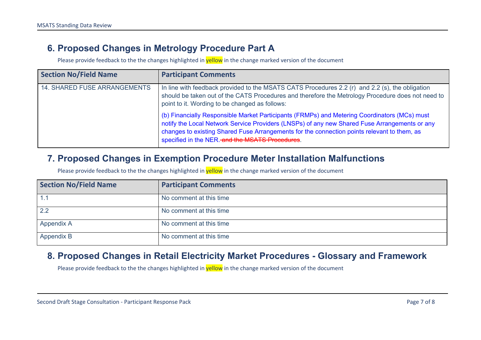#### <span id="page-6-0"></span>**6. Proposed Changes in Metrology Procedure Part A**

Please provide feedback to the the changes highlighted in **yellow** in the change marked version of the document

| <b>Section No/Field Name</b>        | <b>Participant Comments</b>                                                                                                                                                                                                                                                                                                                    |
|-------------------------------------|------------------------------------------------------------------------------------------------------------------------------------------------------------------------------------------------------------------------------------------------------------------------------------------------------------------------------------------------|
| <b>14. SHARED FUSE ARRANGEMENTS</b> | In line with feedback provided to the MSATS CATS Procedures 2.2 (r) and 2.2 (s), the obligation<br>should be taken out of the CATS Procedures and therefore the Metrology Procedure does not need to<br>point to it. Wording to be changed as follows:                                                                                         |
|                                     | (b) Financially Responsible Market Participants (FRMPs) and Metering Coordinators (MCs) must<br>notify the Local Network Service Providers (LNSPs) of any new Shared Fuse Arrangements or any<br>changes to existing Shared Fuse Arrangements for the connection points relevant to them, as<br>specified in the NER.-and the MSATS Procedures |

#### <span id="page-6-1"></span>**7. Proposed Changes in Exemption Procedure Meter Installation Malfunctions**

Please provide feedback to the the changes highlighted in **yellow** in the change marked version of the document

| <b>Section No/Field Name</b> | <b>Participant Comments</b> |
|------------------------------|-----------------------------|
|                              | No comment at this time     |
| 2.2                          | No comment at this time     |
| <b>Appendix A</b>            | No comment at this time     |
| Appendix B                   | No comment at this time     |

#### <span id="page-6-2"></span>**8. Proposed Changes in Retail Electricity Market Procedures - Glossary and Framework**